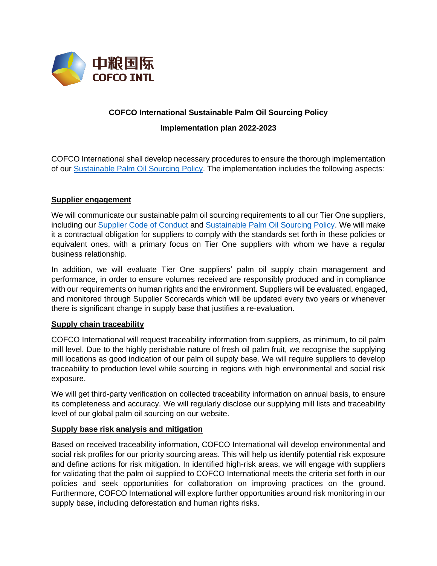

# **COFCO International Sustainable Palm Oil Sourcing Policy**

**Implementation plan 2022-2023**

COFCO International shall develop necessary procedures to ensure the thorough implementation of our **Sustainable Palm Oil Sourcing Policy**. The implementation includes the following aspects:

### **Supplier engagement**

We will communicate our sustainable palm oil sourcing requirements to all our Tier One suppliers, including our [Supplier Code of Conduct](https://www.cofcointernational.com/media/1329/supplier-code-of-conduct.pdf) and [Sustainable Palm Oil Sourcing Policy.](https://www.cofcointernational.com/media/1443/sustainable-palm-oil-sourcing-policy.pdf) We will make it a contractual obligation for suppliers to comply with the standards set forth in these policies or equivalent ones, with a primary focus on Tier One suppliers with whom we have a regular business relationship.

In addition, we will evaluate Tier One suppliers' palm oil supply chain management and performance, in order to ensure volumes received are responsibly produced and in compliance with our requirements on human rights and the environment. Suppliers will be evaluated, engaged, and monitored through Supplier Scorecards which will be updated every two years or whenever there is significant change in supply base that justifies a re-evaluation.

#### **Supply chain traceability**

COFCO International will request traceability information from suppliers, as minimum, to oil palm mill level. Due to the highly perishable nature of fresh oil palm fruit, we recognise the supplying mill locations as good indication of our palm oil supply base. We will require suppliers to develop traceability to production level while sourcing in regions with high environmental and social risk exposure.

We will get third-party verification on collected traceability information on annual basis, to ensure its completeness and accuracy. We will regularly disclose our supplying mill lists and traceability level of our global palm oil sourcing on our website.

#### **Supply base risk analysis and mitigation**

Based on received traceability information, COFCO International will develop environmental and social risk profiles for our priority sourcing areas. This will help us identify potential risk exposure and define actions for risk mitigation. In identified high-risk areas, we will engage with suppliers for validating that the palm oil supplied to COFCO International meets the criteria set forth in our policies and seek opportunities for collaboration on improving practices on the ground. Furthermore, COFCO International will explore further opportunities around risk monitoring in our supply base, including deforestation and human rights risks.